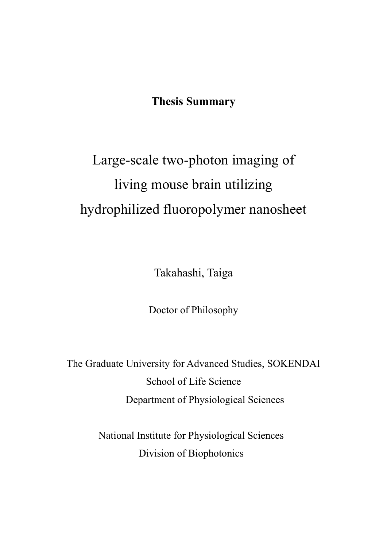## **Thesis Summary**

# Large-scale two-photon imaging of living mouse brain utilizing hydrophilized fluoropolymer nanosheet

Takahashi, Taiga

Doctor of Philosophy

The Graduate University for Advanced Studies, SOKENDAI School of Life Science Department of Physiological Sciences

> National Institute for Physiological Sciences Division of Biophotonics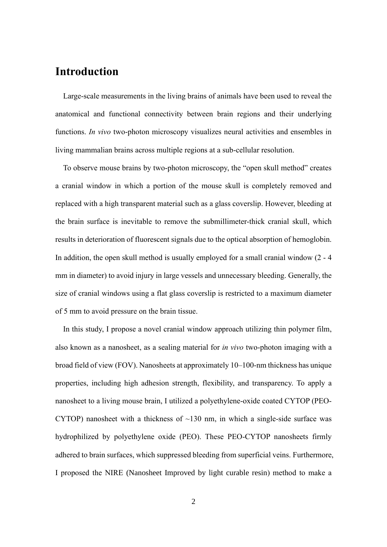## **Introduction**

Large-scale measurements in the living brains of animals have been used to reveal the anatomical and functional connectivity between brain regions and their underlying functions. *In vivo* two-photon microscopy visualizes neural activities and ensembles in living mammalian brains across multiple regions at a sub-cellular resolution.

To observe mouse brains by two-photon microscopy, the "open skull method" creates a cranial window in which a portion of the mouse skull is completely removed and replaced with a high transparent material such as a glass coverslip. However, bleeding at the brain surface is inevitable to remove the submillimeter-thick cranial skull, which results in deterioration of fluorescent signals due to the optical absorption of hemoglobin. In addition, the open skull method is usually employed for a small cranial window (2 - 4 mm in diameter) to avoid injury in large vessels and unnecessary bleeding. Generally, the size of cranial windows using a flat glass coverslip is restricted to a maximum diameter of 5 mm to avoid pressure on the brain tissue.

In this study, I propose a novel cranial window approach utilizing thin polymer film, also known as a nanosheet, as a sealing material for *in vivo* two-photon imaging with a broad field of view (FOV). Nanosheets at approximately 10–100-nm thickness has unique properties, including high adhesion strength, flexibility, and transparency. To apply a nanosheet to a living mouse brain, I utilized a polyethylene-oxide coated CYTOP (PEO-CYTOP) nanosheet with a thickness of  $\sim$ 130 nm, in which a single-side surface was hydrophilized by polyethylene oxide (PEO). These PEO-CYTOP nanosheets firmly adhered to brain surfaces, which suppressed bleeding from superficial veins. Furthermore, I proposed the NIRE (Nanosheet Improved by light curable resin) method to make a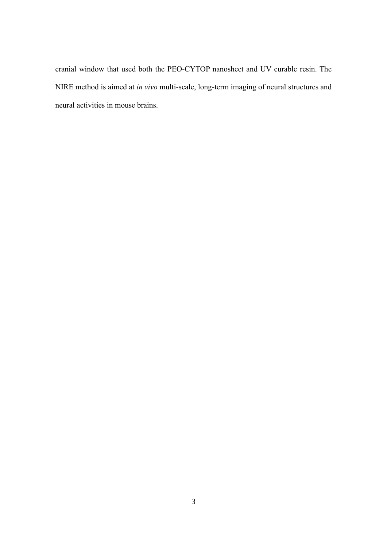cranial window that used both the PEO-CYTOP nanosheet and UV curable resin. The NIRE method is aimed at *in vivo* multi-scale, long-term imaging of neural structures and neural activities in mouse brains.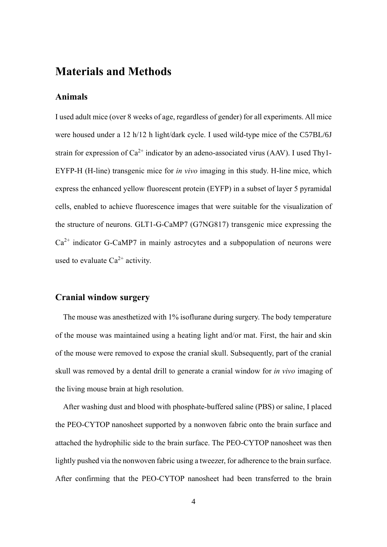## **Materials and Methods**

#### **Animals**

I used adult mice (over 8 weeks of age, regardless of gender) for all experiments. All mice were housed under a 12 h/12 h light/dark cycle. I used wild-type mice of the C57BL/6J strain for expression of  $Ca^{2+}$  indicator by an adeno-associated virus (AAV). I used Thy1-EYFP-H (H-line) transgenic mice for *in vivo* imaging in this study. H-line mice, which express the enhanced yellow fluorescent protein (EYFP) in a subset of layer 5 pyramidal cells, enabled to achieve fluorescence images that were suitable for the visualization of the structure of neurons. GLT1-G-CaMP7 (G7NG817) transgenic mice expressing the  $Ca<sup>2+</sup>$  indicator G-CaMP7 in mainly astrocytes and a subpopulation of neurons were used to evaluate  $Ca^{2+}$  activity.

#### **Cranial window surgery**

The mouse was anesthetized with 1% isoflurane during surgery. The body temperature of the mouse was maintained using a heating light and/or mat. First, the hair and skin of the mouse were removed to expose the cranial skull. Subsequently, part of the cranial skull was removed by a dental drill to generate a cranial window for *in vivo* imaging of the living mouse brain at high resolution.

After washing dust and blood with phosphate-buffered saline (PBS) or saline, I placed the PEO-CYTOP nanosheet supported by a nonwoven fabric onto the brain surface and attached the hydrophilic side to the brain surface. The PEO-CYTOP nanosheet was then lightly pushed via the nonwoven fabric using a tweezer, for adherence to the brain surface. After confirming that the PEO-CYTOP nanosheet had been transferred to the brain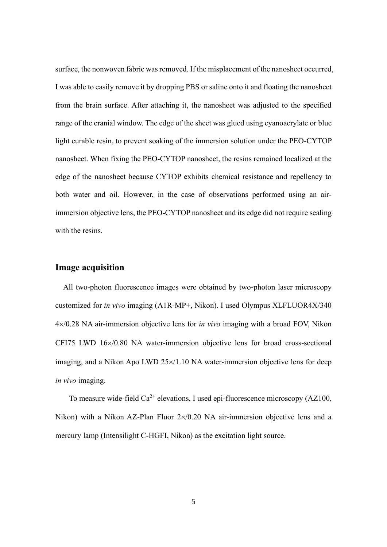surface, the nonwoven fabric was removed. If the misplacement of the nanosheet occurred, I was able to easily remove it by dropping PBS or saline onto it and floating the nanosheet from the brain surface. After attaching it, the nanosheet was adjusted to the specified range of the cranial window. The edge of the sheet was glued using cyanoacrylate or blue light curable resin, to prevent soaking of the immersion solution under the PEO-CYTOP nanosheet. When fixing the PEO-CYTOP nanosheet, the resins remained localized at the edge of the nanosheet because CYTOP exhibits chemical resistance and repellency to both water and oil. However, in the case of observations performed using an airimmersion objective lens, the PEO-CYTOP nanosheet and its edge did not require sealing with the resins.

#### **Image acquisition**

All two-photon fluorescence images were obtained by two-photon laser microscopy customized for *in vivo* imaging (A1R-MP+, Nikon). I used Olympus XLFLUOR4X/340 4/0.28 NA air-immersion objective lens for *in vivo* imaging with a broad FOV, Nikon CFI75 LWD  $16\times/0.80$  NA water-immersion objective lens for broad cross-sectional imaging, and a Nikon Apo LWD  $25 \times /1.10$  NA water-immersion objective lens for deep *in vivo* imaging.

To measure wide-field  $Ca^{2+}$  elevations, I used epi-fluorescence microscopy (AZ100, Nikon) with a Nikon AZ-Plan Fluor  $2\times/0.20$  NA air-immersion objective lens and a mercury lamp (Intensilight C-HGFI, Nikon) as the excitation light source.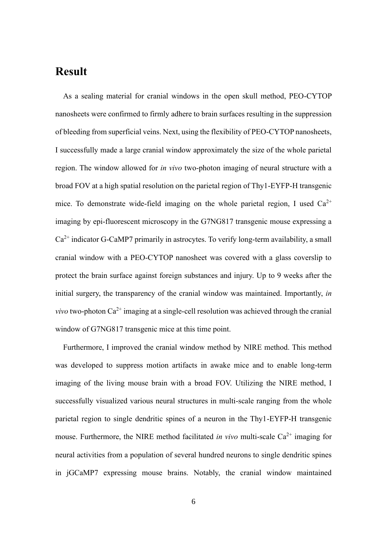### **Result**

As a sealing material for cranial windows in the open skull method, PEO-CYTOP nanosheets were confirmed to firmly adhere to brain surfaces resulting in the suppression of bleeding from superficial veins. Next, using the flexibility of PEO-CYTOP nanosheets, I successfully made a large cranial window approximately the size of the whole parietal region. The window allowed for *in vivo* two-photon imaging of neural structure with a broad FOV at a high spatial resolution on the parietal region of Thy1-EYFP-H transgenic mice. To demonstrate wide-field imaging on the whole parietal region, I used  $Ca^{2+}$ imaging by epi-fluorescent microscopy in the G7NG817 transgenic mouse expressing a  $Ca<sup>2+</sup>$  indicator G-CaMP7 primarily in astrocytes. To verify long-term availability, a small cranial window with a PEO-CYTOP nanosheet was covered with a glass coverslip to protect the brain surface against foreign substances and injury. Up to 9 weeks after the initial surgery, the transparency of the cranial window was maintained. Importantly, *in vivo* two-photon  $Ca^{2+}$  imaging at a single-cell resolution was achieved through the cranial window of G7NG817 transgenic mice at this time point.

Furthermore, I improved the cranial window method by NIRE method. This method was developed to suppress motion artifacts in awake mice and to enable long-term imaging of the living mouse brain with a broad FOV. Utilizing the NIRE method, I successfully visualized various neural structures in multi-scale ranging from the whole parietal region to single dendritic spines of a neuron in the Thy1-EYFP-H transgenic mouse. Furthermore, the NIRE method facilitated *in vivo* multi-scale  $Ca^{2+}$  imaging for neural activities from a population of several hundred neurons to single dendritic spines in jGCaMP7 expressing mouse brains. Notably, the cranial window maintained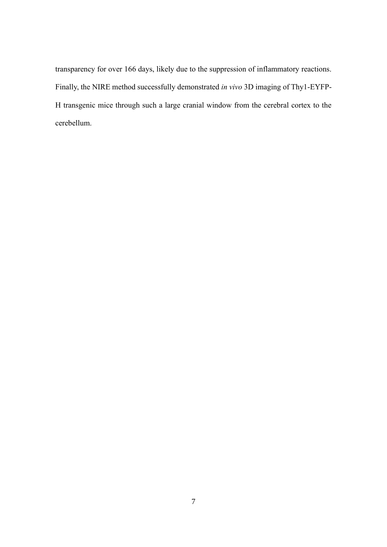transparency for over 166 days, likely due to the suppression of inflammatory reactions. Finally, the NIRE method successfully demonstrated *in vivo* 3D imaging of Thy1-EYFP-H transgenic mice through such a large cranial window from the cerebral cortex to the cerebellum.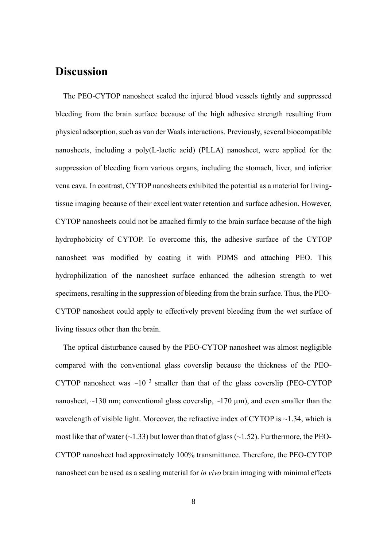## **Discussion**

The PEO-CYTOP nanosheet sealed the injured blood vessels tightly and suppressed bleeding from the brain surface because of the high adhesive strength resulting from physical adsorption, such as van der Waals interactions. Previously, several biocompatible nanosheets, including a poly(L-lactic acid) (PLLA) nanosheet, were applied for the suppression of bleeding from various organs, including the stomach, liver, and inferior vena cava. In contrast, CYTOP nanosheets exhibited the potential as a material for livingtissue imaging because of their excellent water retention and surface adhesion. However, CYTOP nanosheets could not be attached firmly to the brain surface because of the high hydrophobicity of CYTOP. To overcome this, the adhesive surface of the CYTOP nanosheet was modified by coating it with PDMS and attaching PEO. This hydrophilization of the nanosheet surface enhanced the adhesion strength to wet specimens, resulting in the suppression of bleeding from the brain surface. Thus, the PEO-CYTOP nanosheet could apply to effectively prevent bleeding from the wet surface of living tissues other than the brain.

The optical disturbance caused by the PEO-CYTOP nanosheet was almost negligible compared with the conventional glass coverslip because the thickness of the PEO-CYTOP nanosheet was  $\sim 10^{-3}$  smaller than that of the glass coverslip (PEO-CYTOP nanosheet,  $\sim$ 130 nm; conventional glass coverslip,  $\sim$ 170  $\mu$ m), and even smaller than the wavelength of visible light. Moreover, the refractive index of CYTOP is  $\sim$ 1.34, which is most like that of water  $(-1.33)$  but lower than that of glass  $(-1.52)$ . Furthermore, the PEO-CYTOP nanosheet had approximately 100% transmittance. Therefore, the PEO-CYTOP nanosheet can be used as a sealing material for *in vivo* brain imaging with minimal effects